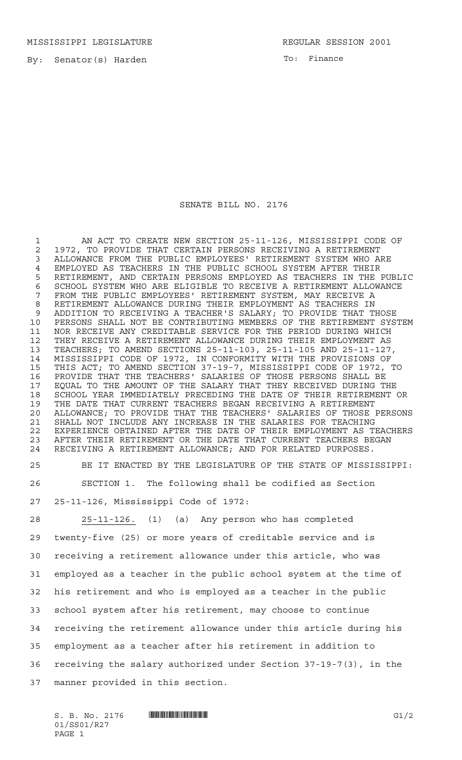MISSISSIPPI LEGISLATURE **REGULAR SESSION 2001** 

By: Senator(s) Harden

To: Finance

## SENATE BILL NO. 2176

 AN ACT TO CREATE NEW SECTION 25-11-126, MISSISSIPPI CODE OF 2 1972, TO PROVIDE THAT CERTAIN PERSONS RECEIVING A RETIREMENT<br>3 ALLOWANCE FROM THE PUBLIC EMPLOYEES' RETIREMENT SYSTEM WHO AI ALLOWANCE FROM THE PUBLIC EMPLOYEES' RETIREMENT SYSTEM WHO ARE 4 EMPLOYED AS TEACHERS IN THE PUBLIC SCHOOL SYSTEM AFTER THEIR<br>5 RETIREMENT, AND CERTAIN PERSONS EMPLOYED AS TEACHERS IN THE RETIREMENT, AND CERTAIN PERSONS EMPLOYED AS TEACHERS IN THE PUBLIC 6 SCHOOL SYSTEM WHO ARE ELIGIBLE TO RECEIVE A RETIREMENT ALLOWANCE<br>7 FROM THE PUBLIC EMPLOYEES' RETIREMENT SYSTEM, MAY RECEIVE A FROM THE PUBLIC EMPLOYEES' RETIREMENT SYSTEM, MAY RECEIVE A RETIREMENT ALLOWANCE DURING THEIR EMPLOYMENT AS TEACHERS IN ADDITION TO RECEIVING A TEACHER'S SALARY; TO PROVIDE THAT THOSE PERSONS SHALL NOT BE CONTRIBUTING MEMBERS OF THE RETIREMENT SYSTEM NOR RECEIVE ANY CREDITABLE SERVICE FOR THE PERIOD DURING WHICH THEY RECEIVE A RETIREMENT ALLOWANCE DURING THEIR EMPLOYMENT AS TEACHERS; TO AMEND SECTIONS 25-11-103, 25-11-105 AND 25-11-127, MISSISSIPPI CODE OF 1972, IN CONFORMITY WITH THE PROVISIONS OF THIS ACT; TO AMEND SECTION 37-19-7, MISSISSIPPI CODE OF 1972, TO PROVIDE THAT THE TEACHERS' SALARIES OF THOSE PERSONS SHALL BE EQUAL TO THE AMOUNT OF THE SALARY THAT THEY RECEIVED DURING THE SCHOOL YEAR IMMEDIATELY PRECEDING THE DATE OF THEIR RETIREMENT OR THE DATE THAT CURRENT TEACHERS BEGAN RECEIVING A RETIREMENT ALLOWANCE; TO PROVIDE THAT THE TEACHERS' SALARIES OF THOSE PERSONS SHALL NOT INCLUDE ANY INCREASE IN THE SALARIES FOR TEACHING EXPERIENCE OBTAINED AFTER THE DATE OF THEIR EMPLOYMENT AS TEACHERS AFTER THEIR RETIREMENT OR THE DATE THAT CURRENT TEACHERS BEGAN RECEIVING A RETIREMENT ALLOWANCE; AND FOR RELATED PURPOSES.

 BE IT ENACTED BY THE LEGISLATURE OF THE STATE OF MISSISSIPPI: SECTION 1. The following shall be codified as Section 25-11-126, Mississippi Code of 1972:

 25-11-126. (1) (a) Any person who has completed twenty-five (25) or more years of creditable service and is receiving a retirement allowance under this article, who was employed as a teacher in the public school system at the time of his retirement and who is employed as a teacher in the public school system after his retirement, may choose to continue receiving the retirement allowance under this article during his employment as a teacher after his retirement in addition to receiving the salary authorized under Section 37-19-7(3), in the manner provided in this section.

 $S. B. No. 2176$  **...**  $\blacksquare$  **...**  $\blacksquare$  ... 01/SS01/R27 PAGE 1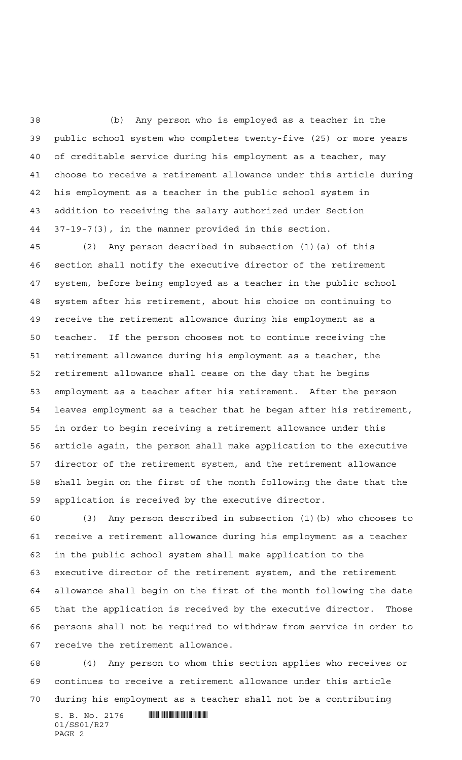(b) Any person who is employed as a teacher in the public school system who completes twenty-five (25) or more years of creditable service during his employment as a teacher, may choose to receive a retirement allowance under this article during his employment as a teacher in the public school system in addition to receiving the salary authorized under Section 37-19-7(3), in the manner provided in this section.

 (2) Any person described in subsection (1)(a) of this section shall notify the executive director of the retirement system, before being employed as a teacher in the public school system after his retirement, about his choice on continuing to receive the retirement allowance during his employment as a teacher. If the person chooses not to continue receiving the retirement allowance during his employment as a teacher, the retirement allowance shall cease on the day that he begins employment as a teacher after his retirement. After the person leaves employment as a teacher that he began after his retirement, in order to begin receiving a retirement allowance under this article again, the person shall make application to the executive director of the retirement system, and the retirement allowance shall begin on the first of the month following the date that the application is received by the executive director.

 (3) Any person described in subsection (1)(b) who chooses to receive a retirement allowance during his employment as a teacher in the public school system shall make application to the executive director of the retirement system, and the retirement allowance shall begin on the first of the month following the date that the application is received by the executive director. Those persons shall not be required to withdraw from service in order to receive the retirement allowance.

 (4) Any person to whom this section applies who receives or continues to receive a retirement allowance under this article during his employment as a teacher shall not be a contributing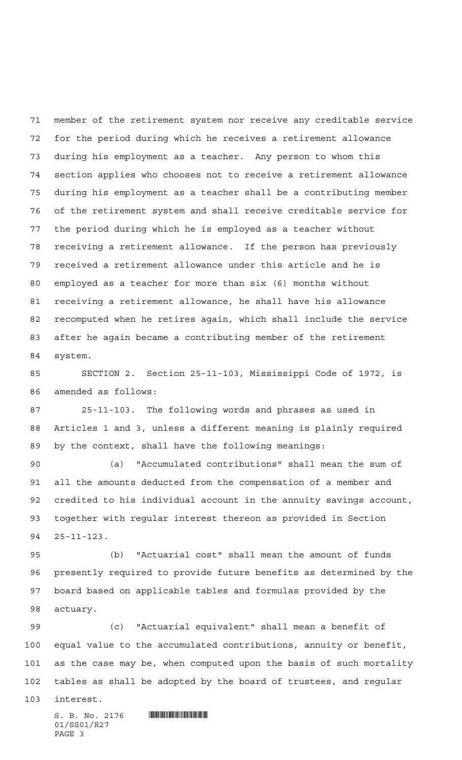member of the retirement system nor receive any creditable service for the period during which he receives a retirement allowance during his employment as a teacher. Any person to whom this section applies who chooses not to receive a retirement allowance during his employment as a teacher shall be a contributing member of the retirement system and shall receive creditable service for the period during which he is employed as a teacher without receiving a retirement allowance. If the person has previously received a retirement allowance under this article and he is employed as a teacher for more than six (6) months without receiving a retirement allowance, he shall have his allowance recomputed when he retires again, which shall include the service after he again became a contributing member of the retirement system.

 SECTION 2. Section 25-11-103, Mississippi Code of 1972, is amended as follows:

 25-11-103. The following words and phrases as used in Articles 1 and 3, unless a different meaning is plainly required by the context, shall have the following meanings:

 (a) "Accumulated contributions" shall mean the sum of all the amounts deducted from the compensation of a member and credited to his individual account in the annuity savings account, together with regular interest thereon as provided in Section 25-11-123.

 (b) "Actuarial cost" shall mean the amount of funds presently required to provide future benefits as determined by the board based on applicable tables and formulas provided by the actuary.

 (c) "Actuarial equivalent" shall mean a benefit of equal value to the accumulated contributions, annuity or benefit, as the case may be, when computed upon the basis of such mortality tables as shall be adopted by the board of trustees, and regular

interest.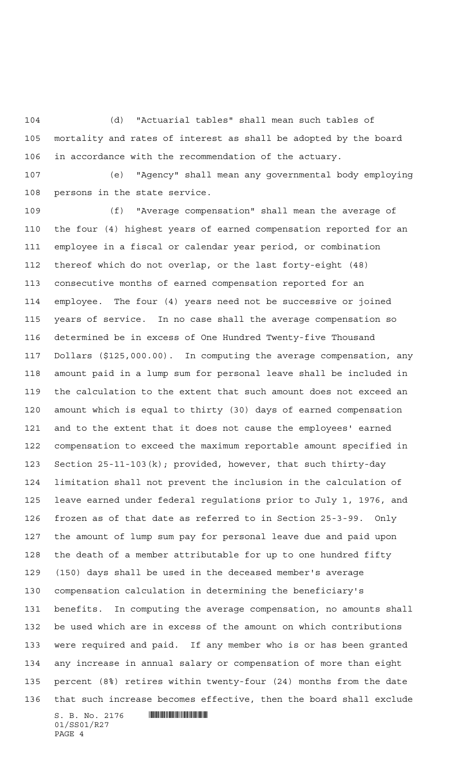(d) "Actuarial tables" shall mean such tables of mortality and rates of interest as shall be adopted by the board in accordance with the recommendation of the actuary.

 (e) "Agency" shall mean any governmental body employing persons in the state service.

 (f) "Average compensation" shall mean the average of the four (4) highest years of earned compensation reported for an employee in a fiscal or calendar year period, or combination thereof which do not overlap, or the last forty-eight (48) consecutive months of earned compensation reported for an employee. The four (4) years need not be successive or joined years of service. In no case shall the average compensation so determined be in excess of One Hundred Twenty-five Thousand Dollars (\$125,000.00). In computing the average compensation, any amount paid in a lump sum for personal leave shall be included in the calculation to the extent that such amount does not exceed an amount which is equal to thirty (30) days of earned compensation and to the extent that it does not cause the employees' earned compensation to exceed the maximum reportable amount specified in Section 25-11-103(k); provided, however, that such thirty-day limitation shall not prevent the inclusion in the calculation of leave earned under federal regulations prior to July 1, 1976, and frozen as of that date as referred to in Section 25-3-99. Only the amount of lump sum pay for personal leave due and paid upon the death of a member attributable for up to one hundred fifty (150) days shall be used in the deceased member's average compensation calculation in determining the beneficiary's benefits. In computing the average compensation, no amounts shall be used which are in excess of the amount on which contributions were required and paid. If any member who is or has been granted any increase in annual salary or compensation of more than eight percent (8%) retires within twenty-four (24) months from the date that such increase becomes effective, then the board shall exclude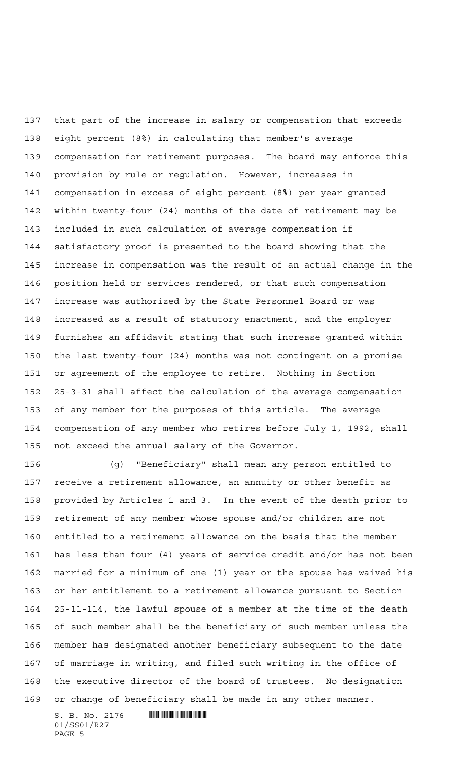that part of the increase in salary or compensation that exceeds eight percent (8%) in calculating that member's average compensation for retirement purposes. The board may enforce this provision by rule or regulation. However, increases in compensation in excess of eight percent (8%) per year granted within twenty-four (24) months of the date of retirement may be included in such calculation of average compensation if satisfactory proof is presented to the board showing that the increase in compensation was the result of an actual change in the position held or services rendered, or that such compensation increase was authorized by the State Personnel Board or was increased as a result of statutory enactment, and the employer furnishes an affidavit stating that such increase granted within the last twenty-four (24) months was not contingent on a promise or agreement of the employee to retire. Nothing in Section 25-3-31 shall affect the calculation of the average compensation of any member for the purposes of this article. The average compensation of any member who retires before July 1, 1992, shall not exceed the annual salary of the Governor.

 (g) "Beneficiary" shall mean any person entitled to receive a retirement allowance, an annuity or other benefit as provided by Articles 1 and 3. In the event of the death prior to retirement of any member whose spouse and/or children are not entitled to a retirement allowance on the basis that the member has less than four (4) years of service credit and/or has not been married for a minimum of one (1) year or the spouse has waived his or her entitlement to a retirement allowance pursuant to Section 25-11-114, the lawful spouse of a member at the time of the death of such member shall be the beneficiary of such member unless the member has designated another beneficiary subsequent to the date of marriage in writing, and filed such writing in the office of the executive director of the board of trustees. No designation or change of beneficiary shall be made in any other manner.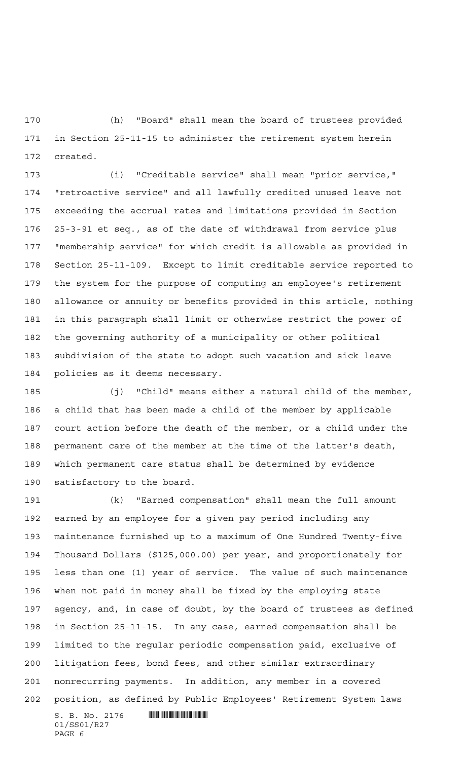(h) "Board" shall mean the board of trustees provided in Section 25-11-15 to administer the retirement system herein created.

 (i) "Creditable service" shall mean "prior service," "retroactive service" and all lawfully credited unused leave not exceeding the accrual rates and limitations provided in Section 25-3-91 et seq., as of the date of withdrawal from service plus "membership service" for which credit is allowable as provided in Section 25-11-109. Except to limit creditable service reported to the system for the purpose of computing an employee's retirement allowance or annuity or benefits provided in this article, nothing in this paragraph shall limit or otherwise restrict the power of the governing authority of a municipality or other political subdivision of the state to adopt such vacation and sick leave policies as it deems necessary.

 (j) "Child" means either a natural child of the member, a child that has been made a child of the member by applicable court action before the death of the member, or a child under the permanent care of the member at the time of the latter's death, which permanent care status shall be determined by evidence satisfactory to the board.

 (k) "Earned compensation" shall mean the full amount earned by an employee for a given pay period including any maintenance furnished up to a maximum of One Hundred Twenty-five Thousand Dollars (\$125,000.00) per year, and proportionately for less than one (1) year of service. The value of such maintenance when not paid in money shall be fixed by the employing state agency, and, in case of doubt, by the board of trustees as defined in Section 25-11-15. In any case, earned compensation shall be limited to the regular periodic compensation paid, exclusive of litigation fees, bond fees, and other similar extraordinary nonrecurring payments. In addition, any member in a covered position, as defined by Public Employees' Retirement System laws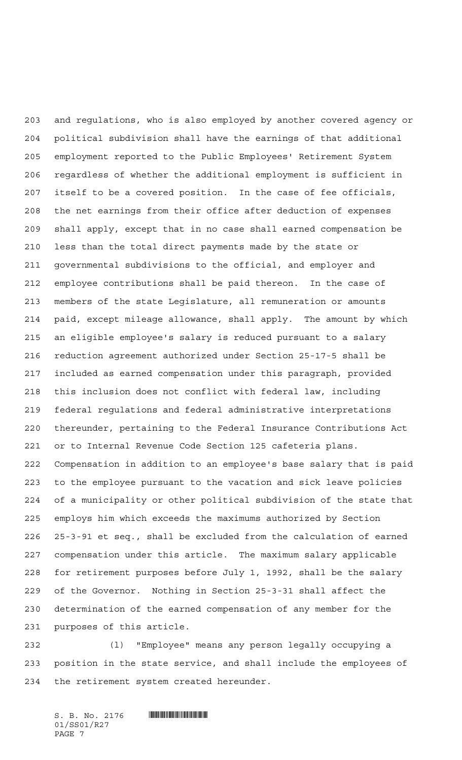and regulations, who is also employed by another covered agency or political subdivision shall have the earnings of that additional employment reported to the Public Employees' Retirement System regardless of whether the additional employment is sufficient in itself to be a covered position. In the case of fee officials, the net earnings from their office after deduction of expenses shall apply, except that in no case shall earned compensation be less than the total direct payments made by the state or governmental subdivisions to the official, and employer and employee contributions shall be paid thereon. In the case of members of the state Legislature, all remuneration or amounts paid, except mileage allowance, shall apply. The amount by which an eligible employee's salary is reduced pursuant to a salary reduction agreement authorized under Section 25-17-5 shall be included as earned compensation under this paragraph, provided this inclusion does not conflict with federal law, including federal regulations and federal administrative interpretations thereunder, pertaining to the Federal Insurance Contributions Act or to Internal Revenue Code Section 125 cafeteria plans. Compensation in addition to an employee's base salary that is paid to the employee pursuant to the vacation and sick leave policies of a municipality or other political subdivision of the state that employs him which exceeds the maximums authorized by Section 25-3-91 et seq., shall be excluded from the calculation of earned compensation under this article. The maximum salary applicable for retirement purposes before July 1, 1992, shall be the salary of the Governor. Nothing in Section 25-3-31 shall affect the determination of the earned compensation of any member for the purposes of this article.

 (l) "Employee" means any person legally occupying a position in the state service, and shall include the employees of the retirement system created hereunder.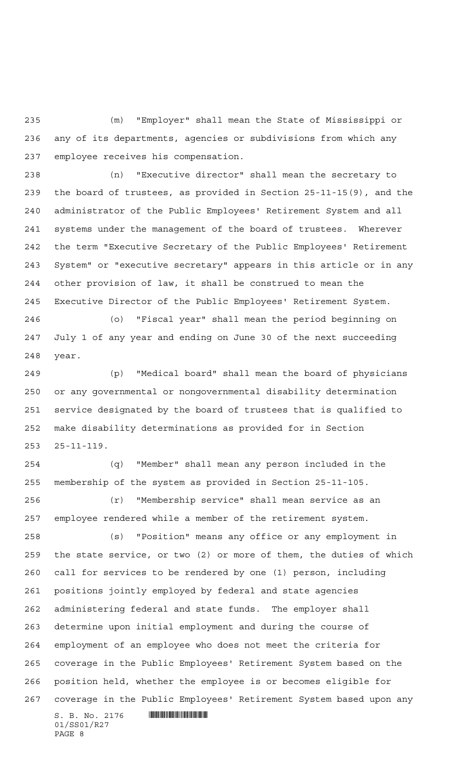(m) "Employer" shall mean the State of Mississippi or any of its departments, agencies or subdivisions from which any employee receives his compensation.

 (n) "Executive director" shall mean the secretary to the board of trustees, as provided in Section 25-11-15(9), and the administrator of the Public Employees' Retirement System and all systems under the management of the board of trustees. Wherever the term "Executive Secretary of the Public Employees' Retirement System" or "executive secretary" appears in this article or in any other provision of law, it shall be construed to mean the Executive Director of the Public Employees' Retirement System.

 (o) "Fiscal year" shall mean the period beginning on July 1 of any year and ending on June 30 of the next succeeding year.

 (p) "Medical board" shall mean the board of physicians or any governmental or nongovernmental disability determination service designated by the board of trustees that is qualified to make disability determinations as provided for in Section 25-11-119.

 (q) "Member" shall mean any person included in the membership of the system as provided in Section 25-11-105.

 (r) "Membership service" shall mean service as an employee rendered while a member of the retirement system.

 (s) "Position" means any office or any employment in the state service, or two (2) or more of them, the duties of which call for services to be rendered by one (1) person, including positions jointly employed by federal and state agencies administering federal and state funds. The employer shall determine upon initial employment and during the course of employment of an employee who does not meet the criteria for coverage in the Public Employees' Retirement System based on the position held, whether the employee is or becomes eligible for coverage in the Public Employees' Retirement System based upon any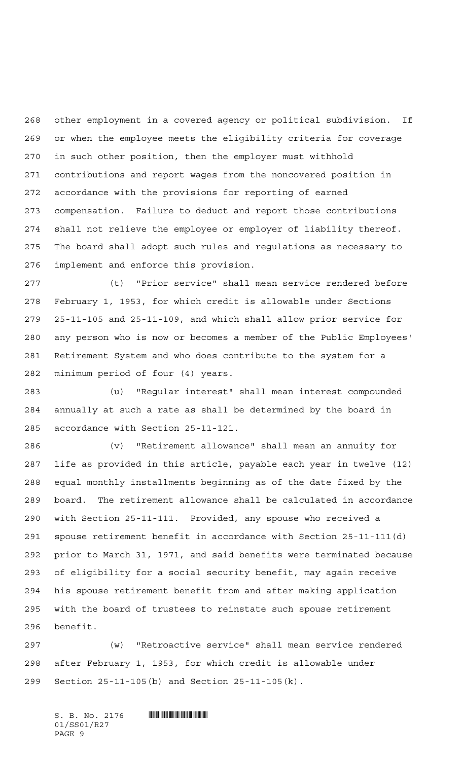other employment in a covered agency or political subdivision. If or when the employee meets the eligibility criteria for coverage in such other position, then the employer must withhold contributions and report wages from the noncovered position in accordance with the provisions for reporting of earned compensation. Failure to deduct and report those contributions shall not relieve the employee or employer of liability thereof. The board shall adopt such rules and regulations as necessary to implement and enforce this provision.

 (t) "Prior service" shall mean service rendered before February 1, 1953, for which credit is allowable under Sections 25-11-105 and 25-11-109, and which shall allow prior service for any person who is now or becomes a member of the Public Employees' Retirement System and who does contribute to the system for a minimum period of four (4) years.

 (u) "Regular interest" shall mean interest compounded annually at such a rate as shall be determined by the board in accordance with Section 25-11-121.

 (v) "Retirement allowance" shall mean an annuity for life as provided in this article, payable each year in twelve (12) equal monthly installments beginning as of the date fixed by the board. The retirement allowance shall be calculated in accordance with Section 25-11-111. Provided, any spouse who received a spouse retirement benefit in accordance with Section 25-11-111(d) prior to March 31, 1971, and said benefits were terminated because of eligibility for a social security benefit, may again receive his spouse retirement benefit from and after making application with the board of trustees to reinstate such spouse retirement benefit.

 (w) "Retroactive service" shall mean service rendered after February 1, 1953, for which credit is allowable under Section 25-11-105(b) and Section 25-11-105(k).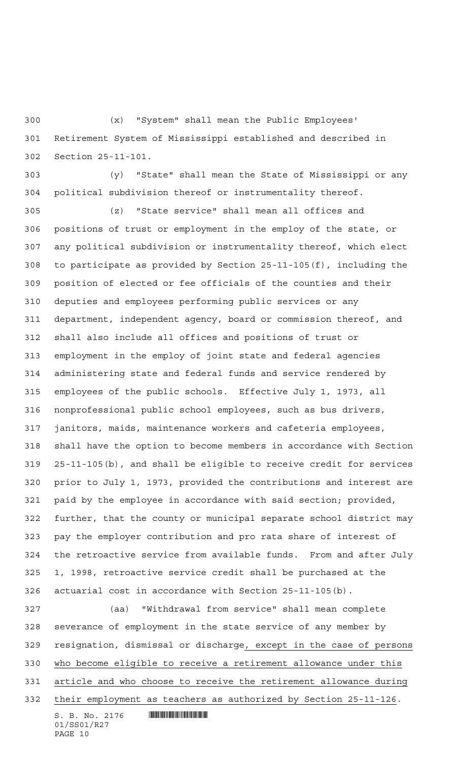(x) "System" shall mean the Public Employees' Retirement System of Mississippi established and described in Section 25-11-101.

 (y) "State" shall mean the State of Mississippi or any political subdivision thereof or instrumentality thereof.

 (z) "State service" shall mean all offices and positions of trust or employment in the employ of the state, or any political subdivision or instrumentality thereof, which elect to participate as provided by Section 25-11-105(f), including the position of elected or fee officials of the counties and their deputies and employees performing public services or any department, independent agency, board or commission thereof, and shall also include all offices and positions of trust or employment in the employ of joint state and federal agencies administering state and federal funds and service rendered by employees of the public schools. Effective July 1, 1973, all nonprofessional public school employees, such as bus drivers, janitors, maids, maintenance workers and cafeteria employees, shall have the option to become members in accordance with Section 25-11-105(b), and shall be eligible to receive credit for services prior to July 1, 1973, provided the contributions and interest are paid by the employee in accordance with said section; provided, further, that the county or municipal separate school district may pay the employer contribution and pro rata share of interest of the retroactive service from available funds. From and after July 1, 1998, retroactive service credit shall be purchased at the actuarial cost in accordance with Section 25-11-105(b).

 (aa) "Withdrawal from service" shall mean complete severance of employment in the state service of any member by resignation, dismissal or discharge, except in the case of persons who become eligible to receive a retirement allowance under this article and who choose to receive the retirement allowance during their employment as teachers as authorized by Section 25-11-126.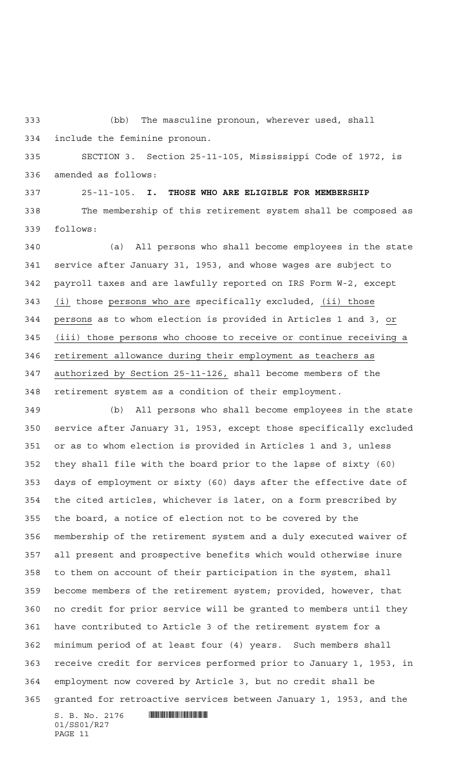(bb) The masculine pronoun, wherever used, shall include the feminine pronoun.

 SECTION 3. Section 25-11-105, Mississippi Code of 1972, is amended as follows:

 25-11-105. **I. THOSE WHO ARE ELIGIBLE FOR MEMBERSHIP** The membership of this retirement system shall be composed as follows:

 (a) All persons who shall become employees in the state service after January 31, 1953, and whose wages are subject to payroll taxes and are lawfully reported on IRS Form W-2, except (i) those persons who are specifically excluded, (ii) those persons as to whom election is provided in Articles 1 and 3, or (iii) those persons who choose to receive or continue receiving a retirement allowance during their employment as teachers as authorized by Section 25-11-126, shall become members of the retirement system as a condition of their employment.

 $S. B. No. 2176$  . And the state of  $\mathbb{R}$  (b) All persons who shall become employees in the state service after January 31, 1953, except those specifically excluded or as to whom election is provided in Articles 1 and 3, unless they shall file with the board prior to the lapse of sixty (60) days of employment or sixty (60) days after the effective date of the cited articles, whichever is later, on a form prescribed by the board, a notice of election not to be covered by the membership of the retirement system and a duly executed waiver of all present and prospective benefits which would otherwise inure to them on account of their participation in the system, shall become members of the retirement system; provided, however, that no credit for prior service will be granted to members until they have contributed to Article 3 of the retirement system for a minimum period of at least four (4) years. Such members shall receive credit for services performed prior to January 1, 1953, in employment now covered by Article 3, but no credit shall be granted for retroactive services between January 1, 1953, and the

01/SS01/R27 PAGE 11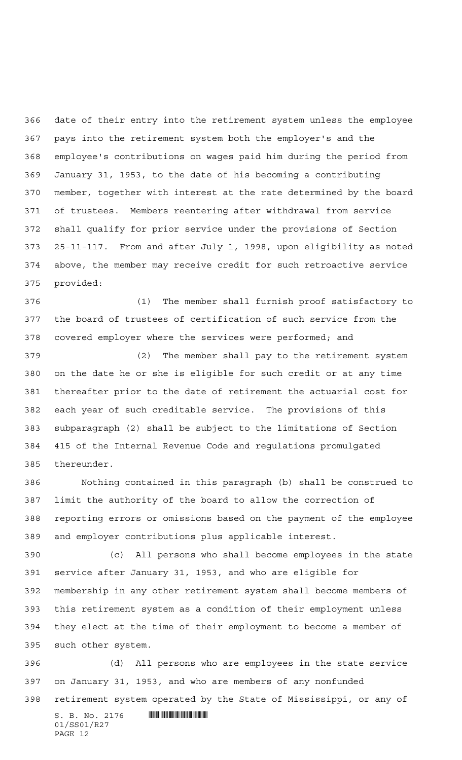date of their entry into the retirement system unless the employee pays into the retirement system both the employer's and the employee's contributions on wages paid him during the period from January 31, 1953, to the date of his becoming a contributing member, together with interest at the rate determined by the board of trustees. Members reentering after withdrawal from service shall qualify for prior service under the provisions of Section 25-11-117. From and after July 1, 1998, upon eligibility as noted above, the member may receive credit for such retroactive service provided:

 (1) The member shall furnish proof satisfactory to the board of trustees of certification of such service from the covered employer where the services were performed; and

 (2) The member shall pay to the retirement system on the date he or she is eligible for such credit or at any time thereafter prior to the date of retirement the actuarial cost for each year of such creditable service. The provisions of this subparagraph (2) shall be subject to the limitations of Section 415 of the Internal Revenue Code and regulations promulgated thereunder.

 Nothing contained in this paragraph (b) shall be construed to limit the authority of the board to allow the correction of reporting errors or omissions based on the payment of the employee and employer contributions plus applicable interest.

 (c) All persons who shall become employees in the state service after January 31, 1953, and who are eligible for membership in any other retirement system shall become members of this retirement system as a condition of their employment unless they elect at the time of their employment to become a member of such other system.

 (d) All persons who are employees in the state service on January 31, 1953, and who are members of any nonfunded retirement system operated by the State of Mississippi, or any of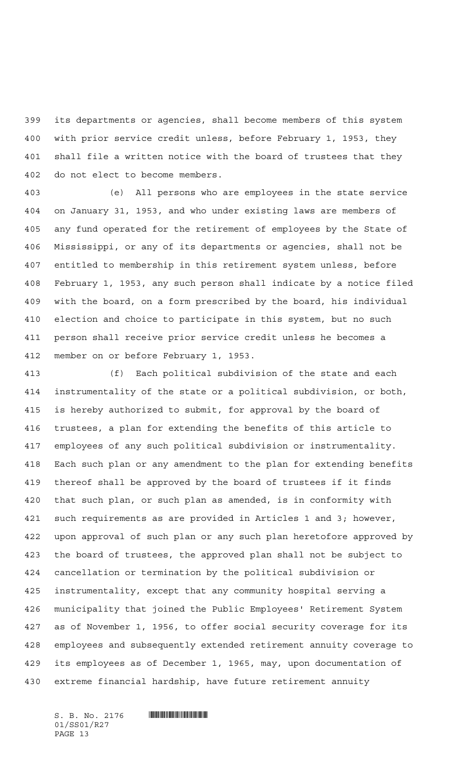its departments or agencies, shall become members of this system with prior service credit unless, before February 1, 1953, they shall file a written notice with the board of trustees that they do not elect to become members.

 (e) All persons who are employees in the state service on January 31, 1953, and who under existing laws are members of any fund operated for the retirement of employees by the State of Mississippi, or any of its departments or agencies, shall not be entitled to membership in this retirement system unless, before February 1, 1953, any such person shall indicate by a notice filed with the board, on a form prescribed by the board, his individual election and choice to participate in this system, but no such person shall receive prior service credit unless he becomes a member on or before February 1, 1953.

 (f) Each political subdivision of the state and each instrumentality of the state or a political subdivision, or both, is hereby authorized to submit, for approval by the board of trustees, a plan for extending the benefits of this article to employees of any such political subdivision or instrumentality. Each such plan or any amendment to the plan for extending benefits thereof shall be approved by the board of trustees if it finds that such plan, or such plan as amended, is in conformity with such requirements as are provided in Articles 1 and 3; however, upon approval of such plan or any such plan heretofore approved by the board of trustees, the approved plan shall not be subject to cancellation or termination by the political subdivision or instrumentality, except that any community hospital serving a municipality that joined the Public Employees' Retirement System as of November 1, 1956, to offer social security coverage for its employees and subsequently extended retirement annuity coverage to its employees as of December 1, 1965, may, upon documentation of extreme financial hardship, have future retirement annuity

01/SS01/R27 PAGE 13

 $S. B. No. 2176$  . And the set of the set of  $S. B. N_{\odot}$  ,  $2176$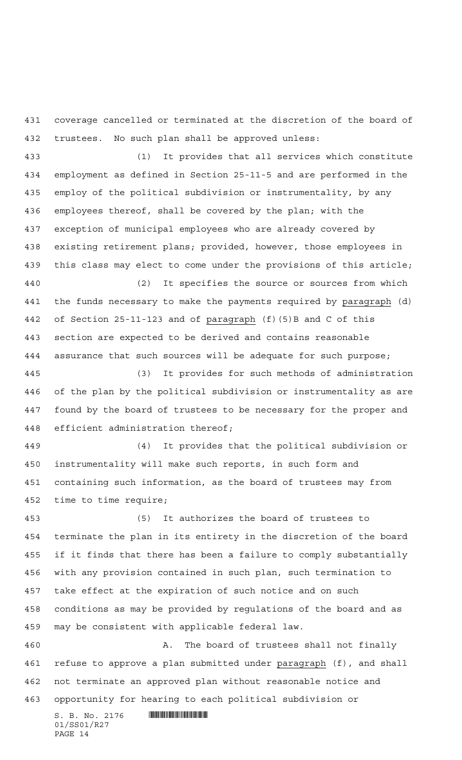coverage cancelled or terminated at the discretion of the board of trustees. No such plan shall be approved unless:

 (1) It provides that all services which constitute employment as defined in Section 25-11-5 and are performed in the employ of the political subdivision or instrumentality, by any employees thereof, shall be covered by the plan; with the exception of municipal employees who are already covered by existing retirement plans; provided, however, those employees in this class may elect to come under the provisions of this article; (2) It specifies the source or sources from which

 the funds necessary to make the payments required by paragraph (d) of Section 25-11-123 and of paragraph (f)(5)B and C of this section are expected to be derived and contains reasonable assurance that such sources will be adequate for such purpose;

 (3) It provides for such methods of administration of the plan by the political subdivision or instrumentality as are found by the board of trustees to be necessary for the proper and efficient administration thereof;

 (4) It provides that the political subdivision or instrumentality will make such reports, in such form and containing such information, as the board of trustees may from time to time require;

 (5) It authorizes the board of trustees to terminate the plan in its entirety in the discretion of the board if it finds that there has been a failure to comply substantially with any provision contained in such plan, such termination to take effect at the expiration of such notice and on such conditions as may be provided by regulations of the board and as may be consistent with applicable federal law.

 A. The board of trustees shall not finally refuse to approve a plan submitted under paragraph (f), and shall not terminate an approved plan without reasonable notice and opportunity for hearing to each political subdivision or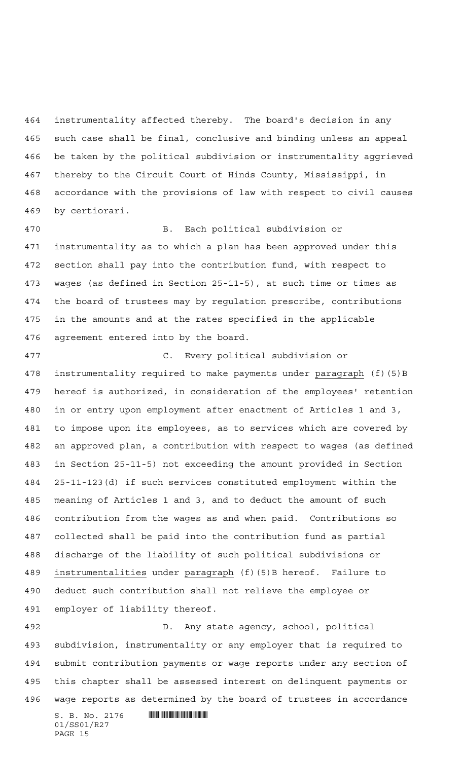instrumentality affected thereby. The board's decision in any such case shall be final, conclusive and binding unless an appeal be taken by the political subdivision or instrumentality aggrieved thereby to the Circuit Court of Hinds County, Mississippi, in accordance with the provisions of law with respect to civil causes by certiorari.

 B. Each political subdivision or instrumentality as to which a plan has been approved under this section shall pay into the contribution fund, with respect to wages (as defined in Section 25-11-5), at such time or times as the board of trustees may by regulation prescribe, contributions in the amounts and at the rates specified in the applicable agreement entered into by the board.

 C. Every political subdivision or instrumentality required to make payments under paragraph (f)(5)B hereof is authorized, in consideration of the employees' retention in or entry upon employment after enactment of Articles 1 and 3, to impose upon its employees, as to services which are covered by an approved plan, a contribution with respect to wages (as defined in Section 25-11-5) not exceeding the amount provided in Section 25-11-123(d) if such services constituted employment within the meaning of Articles 1 and 3, and to deduct the amount of such contribution from the wages as and when paid. Contributions so collected shall be paid into the contribution fund as partial discharge of the liability of such political subdivisions or instrumentalities under paragraph (f)(5)B hereof. Failure to deduct such contribution shall not relieve the employee or employer of liability thereof.

 D. Any state agency, school, political subdivision, instrumentality or any employer that is required to submit contribution payments or wage reports under any section of this chapter shall be assessed interest on delinquent payments or wage reports as determined by the board of trustees in accordance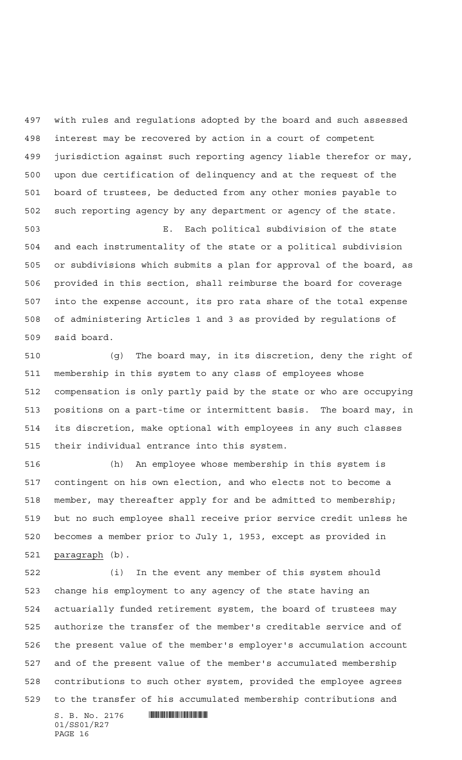with rules and regulations adopted by the board and such assessed interest may be recovered by action in a court of competent jurisdiction against such reporting agency liable therefor or may, upon due certification of delinquency and at the request of the board of trustees, be deducted from any other monies payable to such reporting agency by any department or agency of the state. E. Each political subdivision of the state and each instrumentality of the state or a political subdivision

 or subdivisions which submits a plan for approval of the board, as provided in this section, shall reimburse the board for coverage into the expense account, its pro rata share of the total expense of administering Articles 1 and 3 as provided by regulations of said board.

 (g) The board may, in its discretion, deny the right of membership in this system to any class of employees whose compensation is only partly paid by the state or who are occupying positions on a part-time or intermittent basis. The board may, in its discretion, make optional with employees in any such classes their individual entrance into this system.

 (h) An employee whose membership in this system is contingent on his own election, and who elects not to become a member, may thereafter apply for and be admitted to membership; but no such employee shall receive prior service credit unless he becomes a member prior to July 1, 1953, except as provided in 521 paragraph (b).

 (i) In the event any member of this system should change his employment to any agency of the state having an actuarially funded retirement system, the board of trustees may authorize the transfer of the member's creditable service and of the present value of the member's employer's accumulation account and of the present value of the member's accumulated membership contributions to such other system, provided the employee agrees to the transfer of his accumulated membership contributions and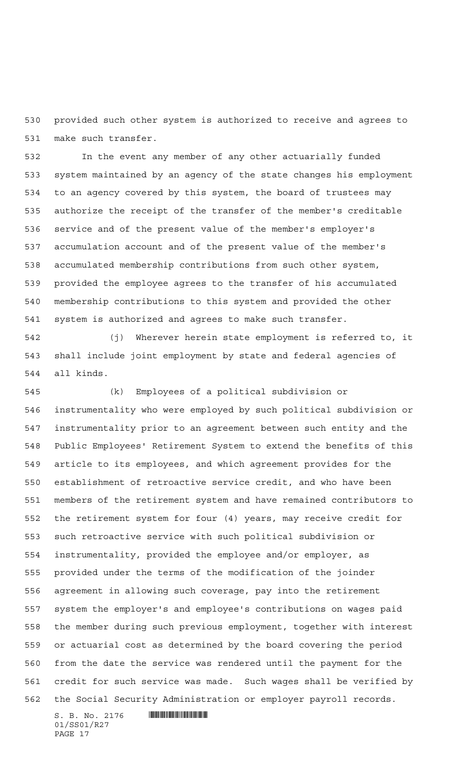provided such other system is authorized to receive and agrees to make such transfer.

 In the event any member of any other actuarially funded system maintained by an agency of the state changes his employment to an agency covered by this system, the board of trustees may authorize the receipt of the transfer of the member's creditable service and of the present value of the member's employer's accumulation account and of the present value of the member's accumulated membership contributions from such other system, provided the employee agrees to the transfer of his accumulated membership contributions to this system and provided the other system is authorized and agrees to make such transfer.

 (j) Wherever herein state employment is referred to, it shall include joint employment by state and federal agencies of all kinds.

 (k) Employees of a political subdivision or instrumentality who were employed by such political subdivision or instrumentality prior to an agreement between such entity and the Public Employees' Retirement System to extend the benefits of this article to its employees, and which agreement provides for the establishment of retroactive service credit, and who have been members of the retirement system and have remained contributors to the retirement system for four (4) years, may receive credit for such retroactive service with such political subdivision or instrumentality, provided the employee and/or employer, as provided under the terms of the modification of the joinder agreement in allowing such coverage, pay into the retirement system the employer's and employee's contributions on wages paid the member during such previous employment, together with interest or actuarial cost as determined by the board covering the period from the date the service was rendered until the payment for the credit for such service was made. Such wages shall be verified by the Social Security Administration or employer payroll records.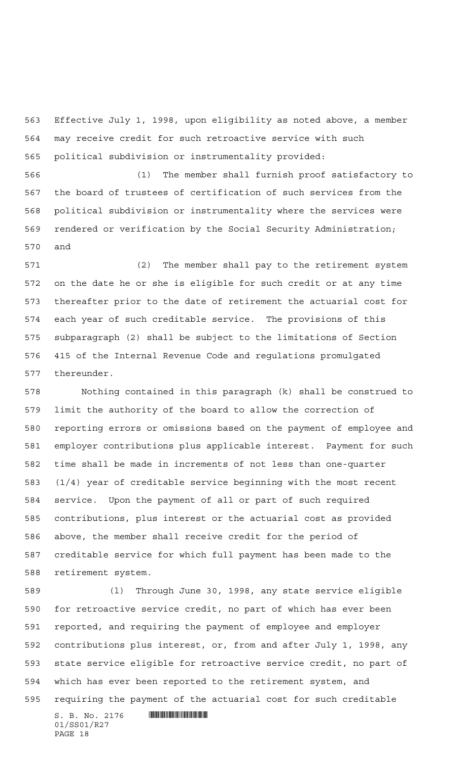Effective July 1, 1998, upon eligibility as noted above, a member may receive credit for such retroactive service with such political subdivision or instrumentality provided:

 (1) The member shall furnish proof satisfactory to the board of trustees of certification of such services from the political subdivision or instrumentality where the services were rendered or verification by the Social Security Administration; and

 (2) The member shall pay to the retirement system on the date he or she is eligible for such credit or at any time thereafter prior to the date of retirement the actuarial cost for each year of such creditable service. The provisions of this subparagraph (2) shall be subject to the limitations of Section 415 of the Internal Revenue Code and regulations promulgated thereunder.

 Nothing contained in this paragraph (k) shall be construed to limit the authority of the board to allow the correction of reporting errors or omissions based on the payment of employee and employer contributions plus applicable interest. Payment for such time shall be made in increments of not less than one-quarter (1/4) year of creditable service beginning with the most recent service. Upon the payment of all or part of such required contributions, plus interest or the actuarial cost as provided above, the member shall receive credit for the period of creditable service for which full payment has been made to the retirement system.

 $S. B. No. 2176$  . And the state of  $\mathbb{R}$  (l) Through June 30, 1998, any state service eligible for retroactive service credit, no part of which has ever been reported, and requiring the payment of employee and employer contributions plus interest, or, from and after July 1, 1998, any state service eligible for retroactive service credit, no part of which has ever been reported to the retirement system, and requiring the payment of the actuarial cost for such creditable

01/SS01/R27 PAGE 18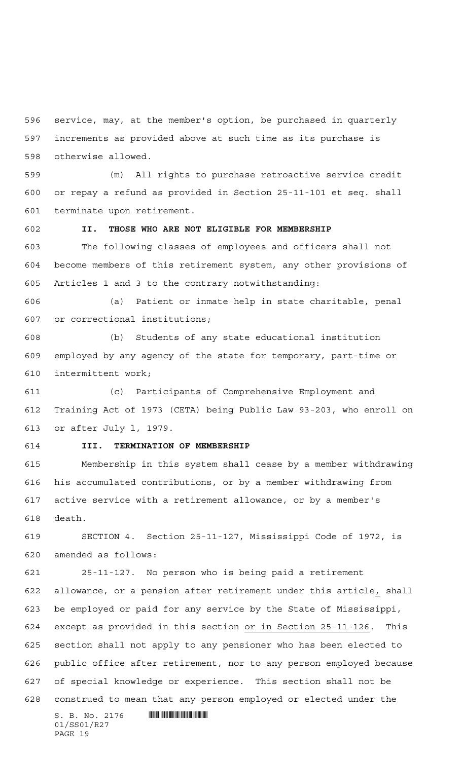service, may, at the member's option, be purchased in quarterly increments as provided above at such time as its purchase is otherwise allowed.

 (m) All rights to purchase retroactive service credit or repay a refund as provided in Section 25-11-101 et seq. shall terminate upon retirement.

## **II. THOSE WHO ARE NOT ELIGIBLE FOR MEMBERSHIP**

 The following classes of employees and officers shall not become members of this retirement system, any other provisions of Articles 1 and 3 to the contrary notwithstanding:

 (a) Patient or inmate help in state charitable, penal or correctional institutions;

 (b) Students of any state educational institution employed by any agency of the state for temporary, part-time or intermittent work;

 (c) Participants of Comprehensive Employment and Training Act of 1973 (CETA) being Public Law 93-203, who enroll on or after July l, 1979.

## **III. TERMINATION OF MEMBERSHIP**

 Membership in this system shall cease by a member withdrawing his accumulated contributions, or by a member withdrawing from active service with a retirement allowance, or by a member's death.

 SECTION 4. Section 25-11-127, Mississippi Code of 1972, is amended as follows:

 25-11-127. No person who is being paid a retirement allowance, or a pension after retirement under this article, shall be employed or paid for any service by the State of Mississippi, except as provided in this section or in Section 25-11-126. This section shall not apply to any pensioner who has been elected to public office after retirement, nor to any person employed because of special knowledge or experience. This section shall not be construed to mean that any person employed or elected under the

 $S. B. No. 2176$  . And the set of the set of  $\sim$  set of  $S. B. N \circ A. 2176$ 01/SS01/R27 PAGE 19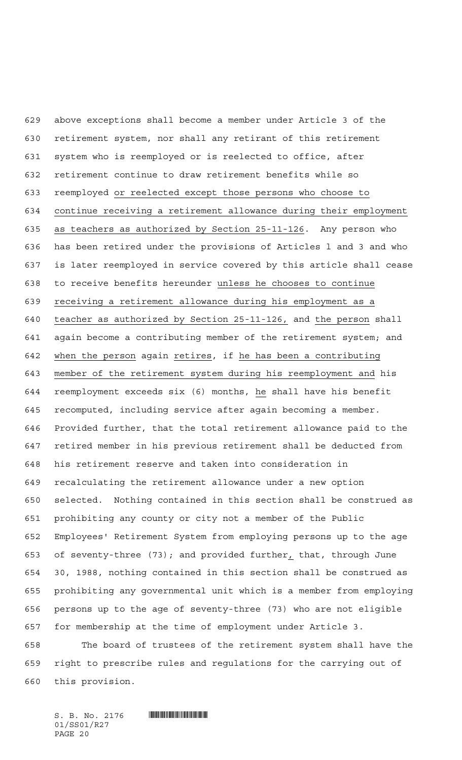above exceptions shall become a member under Article 3 of the retirement system, nor shall any retirant of this retirement system who is reemployed or is reelected to office, after retirement continue to draw retirement benefits while so reemployed or reelected except those persons who choose to continue receiving a retirement allowance during their employment as teachers as authorized by Section 25-11-126. Any person who has been retired under the provisions of Articles l and 3 and who is later reemployed in service covered by this article shall cease to receive benefits hereunder unless he chooses to continue receiving a retirement allowance during his employment as a teacher as authorized by Section 25-11-126, and the person shall again become a contributing member of the retirement system; and 642 when the person again retires, if he has been a contributing member of the retirement system during his reemployment and his reemployment exceeds six (6) months, he shall have his benefit recomputed, including service after again becoming a member. Provided further, that the total retirement allowance paid to the retired member in his previous retirement shall be deducted from his retirement reserve and taken into consideration in recalculating the retirement allowance under a new option selected. Nothing contained in this section shall be construed as prohibiting any county or city not a member of the Public Employees' Retirement System from employing persons up to the age of seventy-three (73); and provided further, that, through June 30, 1988, nothing contained in this section shall be construed as prohibiting any governmental unit which is a member from employing persons up to the age of seventy-three (73) who are not eligible for membership at the time of employment under Article 3. The board of trustees of the retirement system shall have the right to prescribe rules and regulations for the carrying out of

this provision.

 $S. B. No. 2176$  . And the set of the set of  $\sim$  set of  $S. B. N \circ A. 2176$ 01/SS01/R27 PAGE 20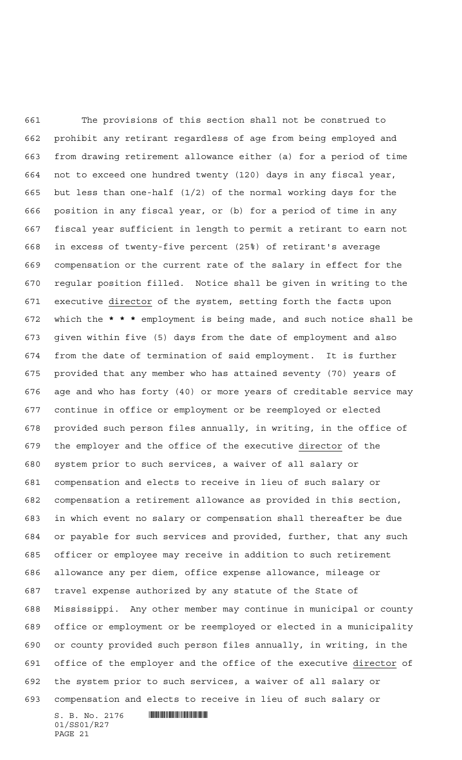The provisions of this section shall not be construed to prohibit any retirant regardless of age from being employed and from drawing retirement allowance either (a) for a period of time not to exceed one hundred twenty (120) days in any fiscal year, but less than one-half (1/2) of the normal working days for the position in any fiscal year, or (b) for a period of time in any fiscal year sufficient in length to permit a retirant to earn not in excess of twenty-five percent (25%) of retirant's average compensation or the current rate of the salary in effect for the regular position filled. Notice shall be given in writing to the executive director of the system, setting forth the facts upon which the **\*\*\*** employment is being made, and such notice shall be given within five (5) days from the date of employment and also from the date of termination of said employment. It is further provided that any member who has attained seventy (70) years of age and who has forty (40) or more years of creditable service may continue in office or employment or be reemployed or elected provided such person files annually, in writing, in the office of the employer and the office of the executive director of the system prior to such services, a waiver of all salary or compensation and elects to receive in lieu of such salary or compensation a retirement allowance as provided in this section, in which event no salary or compensation shall thereafter be due or payable for such services and provided, further, that any such officer or employee may receive in addition to such retirement allowance any per diem, office expense allowance, mileage or travel expense authorized by any statute of the State of Mississippi. Any other member may continue in municipal or county office or employment or be reemployed or elected in a municipality or county provided such person files annually, in writing, in the office of the employer and the office of the executive director of the system prior to such services, a waiver of all salary or compensation and elects to receive in lieu of such salary or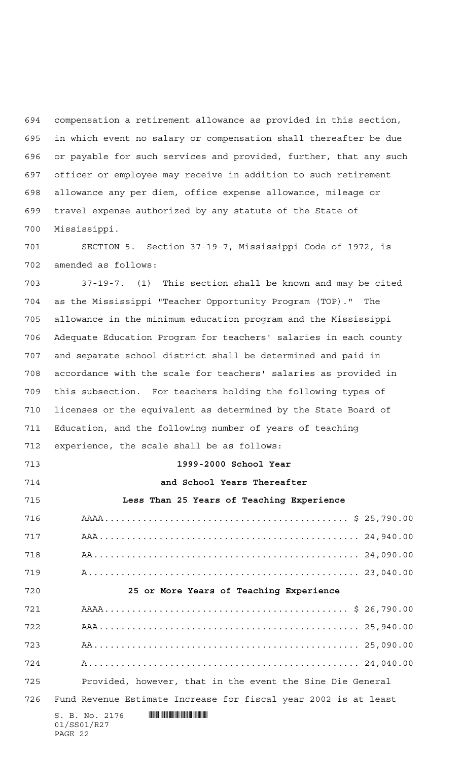compensation a retirement allowance as provided in this section, in which event no salary or compensation shall thereafter be due or payable for such services and provided, further, that any such officer or employee may receive in addition to such retirement allowance any per diem, office expense allowance, mileage or travel expense authorized by any statute of the State of Mississippi.

 SECTION 5. Section 37-19-7, Mississippi Code of 1972, is amended as follows:

 37-19-7. (1) This section shall be known and may be cited as the Mississippi "Teacher Opportunity Program (TOP)." The allowance in the minimum education program and the Mississippi Adequate Education Program for teachers' salaries in each county and separate school district shall be determined and paid in accordance with the scale for teachers' salaries as provided in this subsection. For teachers holding the following types of licenses or the equivalent as determined by the State Board of Education, and the following number of years of teaching experience, the scale shall be as follows:

 $S. B. No. 2176$  . And the set of the set of  $S. B. N_{\odot}$  ,  $2176$ 01/SS01/R27 **1999-2000 School Year and School Years Thereafter Less Than 25 Years of Teaching Experience** AAAA............................................. \$ 25,790.00 AAA................................................ 24,940.00 AA................................................. 24,090.00 A.................................................. 23,040.00 **25 or More Years of Teaching Experience** AAAA............................................. \$ 26,790.00 AAA................................................ 25,940.00 AA................................................. 25,090.00 A.................................................. 24,040.00 Provided, however, that in the event the Sine Die General Fund Revenue Estimate Increase for fiscal year 2002 is at least

PAGE 22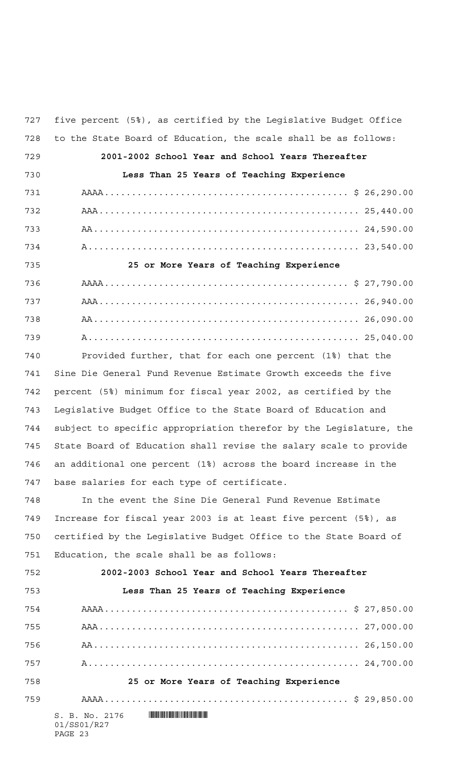| 727 | five percent (5%), as certified by the Legislative Budget Office                                                                                       |
|-----|--------------------------------------------------------------------------------------------------------------------------------------------------------|
| 728 | to the State Board of Education, the scale shall be as follows:                                                                                        |
| 729 | 2001-2002 School Year and School Years Thereafter                                                                                                      |
| 730 | Less Than 25 Years of Teaching Experience                                                                                                              |
| 731 |                                                                                                                                                        |
| 732 |                                                                                                                                                        |
| 733 |                                                                                                                                                        |
| 734 |                                                                                                                                                        |
| 735 | 25 or More Years of Teaching Experience                                                                                                                |
| 736 |                                                                                                                                                        |
| 737 |                                                                                                                                                        |
| 738 |                                                                                                                                                        |
| 739 |                                                                                                                                                        |
| 740 | Provided further, that for each one percent (1%) that the                                                                                              |
| 741 | Sine Die General Fund Revenue Estimate Growth exceeds the five                                                                                         |
| 742 | percent (5%) minimum for fiscal year 2002, as certified by the                                                                                         |
| 743 | Legislative Budget Office to the State Board of Education and                                                                                          |
| 744 | subject to specific appropriation therefor by the Leqislature, the                                                                                     |
| 745 | State Board of Education shall revise the salary scale to provide                                                                                      |
| 746 | an additional one percent (1%) across the board increase in the                                                                                        |
| 747 | base salaries for each type of certificate.                                                                                                            |
| 748 | In the event the Sine Die General Fund Revenue Estimate                                                                                                |
| 749 | Increase for fiscal year 2003 is at least five percent (5%), as                                                                                        |
| 750 | certified by the Legislative Budget Office to the State Board of                                                                                       |
| 751 | Education, the scale shall be as follows:                                                                                                              |
| 752 | 2002-2003 School Year and School Years Thereafter                                                                                                      |
| 753 | Less Than 25 Years of Teaching Experience                                                                                                              |
| 754 |                                                                                                                                                        |
| 755 |                                                                                                                                                        |
| 756 |                                                                                                                                                        |
| 757 |                                                                                                                                                        |
| 758 | 25 or More Years of Teaching Experience                                                                                                                |
| 759 |                                                                                                                                                        |
|     | <u> I de la provincia de la provincia de la provincia de la provincia de la provincia de la provincia de la provi</u><br>S. B. No. 2176<br>01/SS01/R27 |

## PAGE 23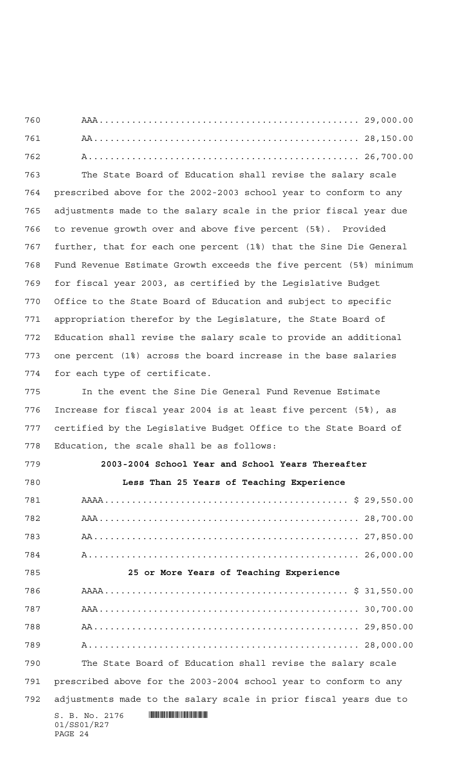The State Board of Education shall revise the salary scale prescribed above for the 2002-2003 school year to conform to any adjustments made to the salary scale in the prior fiscal year due to revenue growth over and above five percent (5%). Provided further, that for each one percent (1%) that the Sine Die General Fund Revenue Estimate Growth exceeds the five percent (5%) minimum for fiscal year 2003, as certified by the Legislative Budget Office to the State Board of Education and subject to specific appropriation therefor by the Legislature, the State Board of Education shall revise the salary scale to provide an additional one percent (1%) across the board increase in the base salaries for each type of certificate.

 In the event the Sine Die General Fund Revenue Estimate Increase for fiscal year 2004 is at least five percent (5%), as certified by the Legislative Budget Office to the State Board of Education, the scale shall be as follows:

**2003-2004 School Year and School Years Thereafter**

 $S. B. No. 2176$  . And the state of  $\mathbb{R}$ 01/SS01/R27 PAGE 24 **Less Than 25 Years of Teaching Experience** AAAA............................................. \$ 29,550.00 AAA................................................ 28,700.00 AA................................................. 27,850.00 A.................................................. 26,000.00 **25 or More Years of Teaching Experience** AAAA............................................. \$ 31,550.00 AAA................................................ 30,700.00 AA................................................. 29,850.00 A.................................................. 28,000.00 The State Board of Education shall revise the salary scale prescribed above for the 2003-2004 school year to conform to any adjustments made to the salary scale in prior fiscal years due to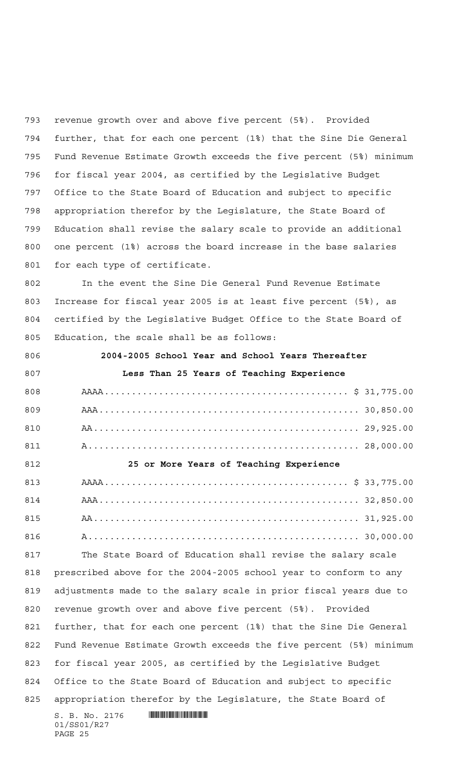revenue growth over and above five percent (5%). Provided further, that for each one percent (1%) that the Sine Die General Fund Revenue Estimate Growth exceeds the five percent (5%) minimum for fiscal year 2004, as certified by the Legislative Budget Office to the State Board of Education and subject to specific appropriation therefor by the Legislature, the State Board of Education shall revise the salary scale to provide an additional one percent (1%) across the board increase in the base salaries for each type of certificate.

 In the event the Sine Die General Fund Revenue Estimate Increase for fiscal year 2005 is at least five percent (5%), as certified by the Legislative Budget Office to the State Board of Education, the scale shall be as follows:

**2004-2005 School Year and School Years Thereafter**

 $S. B. No. 2176$  . And the state of  $\mathbb{R}$ 01/SS01/R27 PAGE 25 **Less Than 25 Years of Teaching Experience** AAAA............................................. \$ 31,775.00 AAA................................................ 30,850.00 AA................................................. 29,925.00 A.................................................. 28,000.00 **25 or More Years of Teaching Experience** AAAA............................................. \$ 33,775.00 AAA................................................ 32,850.00 AA................................................. 31,925.00 A.................................................. 30,000.00 The State Board of Education shall revise the salary scale prescribed above for the 2004-2005 school year to conform to any adjustments made to the salary scale in prior fiscal years due to revenue growth over and above five percent (5%). Provided further, that for each one percent (1%) that the Sine Die General Fund Revenue Estimate Growth exceeds the five percent (5%) minimum for fiscal year 2005, as certified by the Legislative Budget Office to the State Board of Education and subject to specific appropriation therefor by the Legislature, the State Board of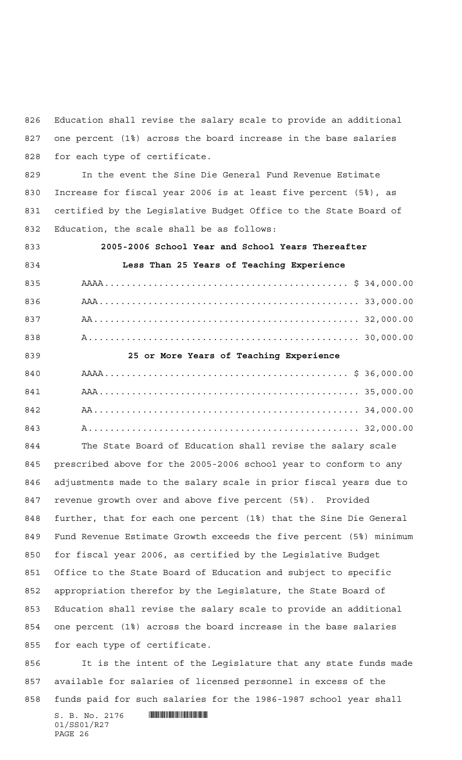Education shall revise the salary scale to provide an additional one percent (1%) across the board increase in the base salaries for each type of certificate.

 In the event the Sine Die General Fund Revenue Estimate Increase for fiscal year 2006 is at least five percent (5%), as certified by the Legislative Budget Office to the State Board of Education, the scale shall be as follows:

 **2005-2006 School Year and School Years Thereafter Less Than 25 Years of Teaching Experience** AAAA............................................. \$ 34,000.00 AAA................................................ 33,000.00 AA................................................. 32,000.00 A.................................................. 30,000.00 **25 or More Years of Teaching Experience** AAAA............................................. \$ 36,000.00 AAA................................................ 35,000.00 AA................................................. 34,000.00

A.................................................. 32,000.00

 The State Board of Education shall revise the salary scale prescribed above for the 2005-2006 school year to conform to any adjustments made to the salary scale in prior fiscal years due to revenue growth over and above five percent (5%). Provided further, that for each one percent (1%) that the Sine Die General Fund Revenue Estimate Growth exceeds the five percent (5%) minimum for fiscal year 2006, as certified by the Legislative Budget Office to the State Board of Education and subject to specific appropriation therefor by the Legislature, the State Board of Education shall revise the salary scale to provide an additional one percent (1%) across the board increase in the base salaries for each type of certificate.

 It is the intent of the Legislature that any state funds made available for salaries of licensed personnel in excess of the funds paid for such salaries for the 1986-1987 school year shall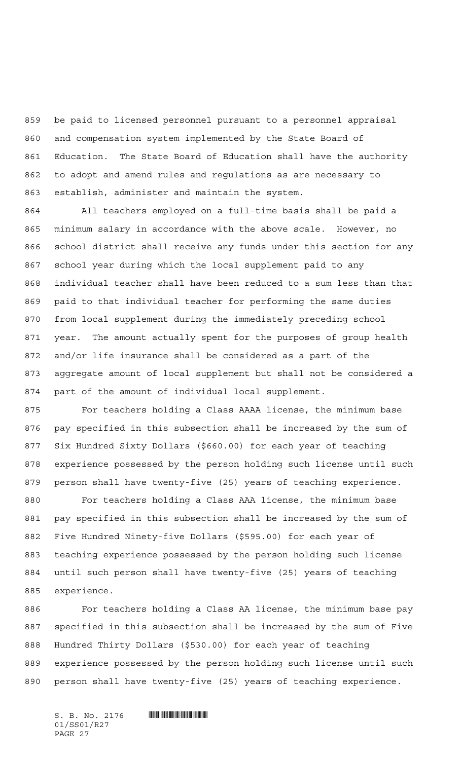be paid to licensed personnel pursuant to a personnel appraisal and compensation system implemented by the State Board of Education. The State Board of Education shall have the authority to adopt and amend rules and regulations as are necessary to establish, administer and maintain the system.

 All teachers employed on a full-time basis shall be paid a minimum salary in accordance with the above scale. However, no school district shall receive any funds under this section for any school year during which the local supplement paid to any individual teacher shall have been reduced to a sum less than that paid to that individual teacher for performing the same duties from local supplement during the immediately preceding school year. The amount actually spent for the purposes of group health and/or life insurance shall be considered as a part of the aggregate amount of local supplement but shall not be considered a part of the amount of individual local supplement.

 For teachers holding a Class AAAA license, the minimum base pay specified in this subsection shall be increased by the sum of Six Hundred Sixty Dollars (\$660.00) for each year of teaching experience possessed by the person holding such license until such person shall have twenty-five (25) years of teaching experience.

 For teachers holding a Class AAA license, the minimum base pay specified in this subsection shall be increased by the sum of Five Hundred Ninety-five Dollars (\$595.00) for each year of teaching experience possessed by the person holding such license until such person shall have twenty-five (25) years of teaching experience.

 For teachers holding a Class AA license, the minimum base pay specified in this subsection shall be increased by the sum of Five Hundred Thirty Dollars (\$530.00) for each year of teaching experience possessed by the person holding such license until such person shall have twenty-five (25) years of teaching experience.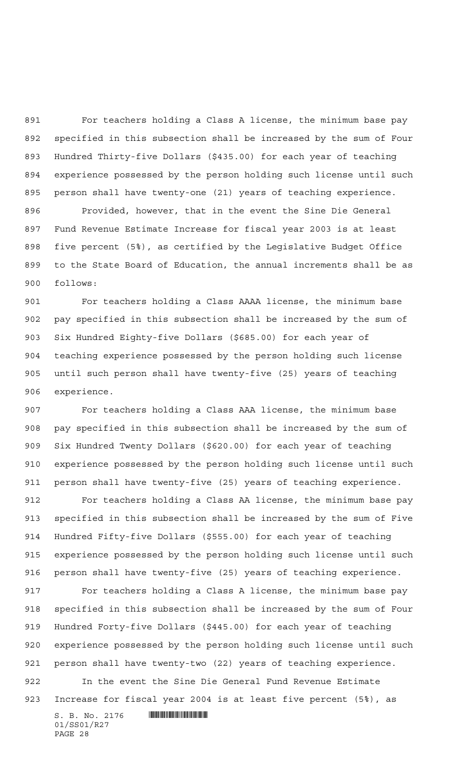For teachers holding a Class A license, the minimum base pay specified in this subsection shall be increased by the sum of Four Hundred Thirty-five Dollars (\$435.00) for each year of teaching experience possessed by the person holding such license until such person shall have twenty-one (21) years of teaching experience. Provided, however, that in the event the Sine Die General Fund Revenue Estimate Increase for fiscal year 2003 is at least five percent (5%), as certified by the Legislative Budget Office to the State Board of Education, the annual increments shall be as follows:

 For teachers holding a Class AAAA license, the minimum base pay specified in this subsection shall be increased by the sum of Six Hundred Eighty-five Dollars (\$685.00) for each year of teaching experience possessed by the person holding such license until such person shall have twenty-five (25) years of teaching experience.

 For teachers holding a Class AAA license, the minimum base pay specified in this subsection shall be increased by the sum of Six Hundred Twenty Dollars (\$620.00) for each year of teaching experience possessed by the person holding such license until such person shall have twenty-five (25) years of teaching experience.

 For teachers holding a Class AA license, the minimum base pay specified in this subsection shall be increased by the sum of Five Hundred Fifty-five Dollars (\$555.00) for each year of teaching experience possessed by the person holding such license until such person shall have twenty-five (25) years of teaching experience.

 For teachers holding a Class A license, the minimum base pay specified in this subsection shall be increased by the sum of Four Hundred Forty-five Dollars (\$445.00) for each year of teaching experience possessed by the person holding such license until such person shall have twenty-two (22) years of teaching experience.

 In the event the Sine Die General Fund Revenue Estimate Increase for fiscal year 2004 is at least five percent (5%), as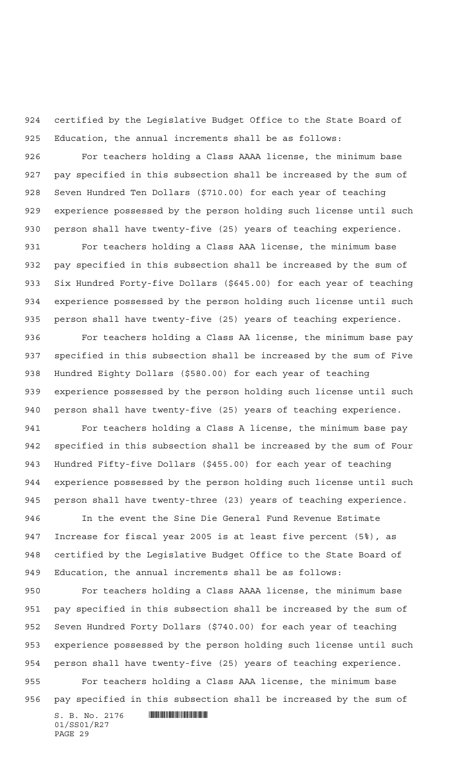certified by the Legislative Budget Office to the State Board of Education, the annual increments shall be as follows:

 For teachers holding a Class AAAA license, the minimum base pay specified in this subsection shall be increased by the sum of Seven Hundred Ten Dollars (\$710.00) for each year of teaching experience possessed by the person holding such license until such person shall have twenty-five (25) years of teaching experience.

 For teachers holding a Class AAA license, the minimum base pay specified in this subsection shall be increased by the sum of Six Hundred Forty-five Dollars (\$645.00) for each year of teaching experience possessed by the person holding such license until such person shall have twenty-five (25) years of teaching experience.

 For teachers holding a Class AA license, the minimum base pay specified in this subsection shall be increased by the sum of Five Hundred Eighty Dollars (\$580.00) for each year of teaching experience possessed by the person holding such license until such person shall have twenty-five (25) years of teaching experience.

 For teachers holding a Class A license, the minimum base pay specified in this subsection shall be increased by the sum of Four Hundred Fifty-five Dollars (\$455.00) for each year of teaching experience possessed by the person holding such license until such person shall have twenty-three (23) years of teaching experience.

 In the event the Sine Die General Fund Revenue Estimate Increase for fiscal year 2005 is at least five percent (5%), as certified by the Legislative Budget Office to the State Board of Education, the annual increments shall be as follows:

 For teachers holding a Class AAAA license, the minimum base pay specified in this subsection shall be increased by the sum of Seven Hundred Forty Dollars (\$740.00) for each year of teaching experience possessed by the person holding such license until such person shall have twenty-five (25) years of teaching experience.

 For teachers holding a Class AAA license, the minimum base pay specified in this subsection shall be increased by the sum of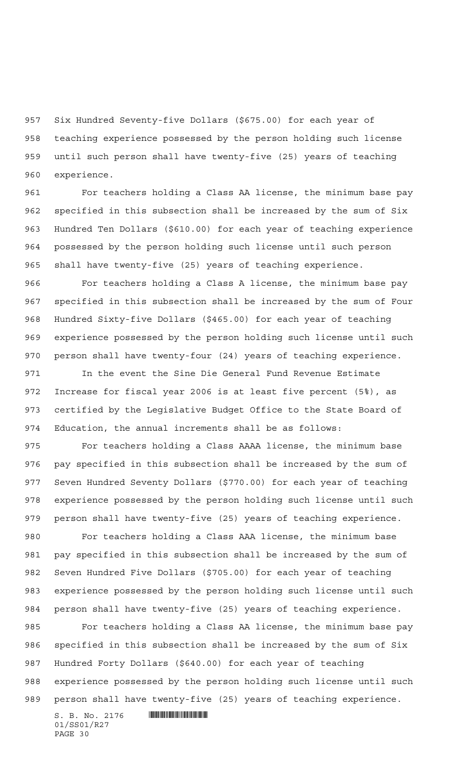Six Hundred Seventy-five Dollars (\$675.00) for each year of teaching experience possessed by the person holding such license until such person shall have twenty-five (25) years of teaching experience.

 For teachers holding a Class AA license, the minimum base pay specified in this subsection shall be increased by the sum of Six Hundred Ten Dollars (\$610.00) for each year of teaching experience possessed by the person holding such license until such person shall have twenty-five (25) years of teaching experience.

 For teachers holding a Class A license, the minimum base pay specified in this subsection shall be increased by the sum of Four Hundred Sixty-five Dollars (\$465.00) for each year of teaching experience possessed by the person holding such license until such person shall have twenty-four (24) years of teaching experience.

 In the event the Sine Die General Fund Revenue Estimate Increase for fiscal year 2006 is at least five percent (5%), as certified by the Legislative Budget Office to the State Board of Education, the annual increments shall be as follows:

 For teachers holding a Class AAAA license, the minimum base pay specified in this subsection shall be increased by the sum of Seven Hundred Seventy Dollars (\$770.00) for each year of teaching experience possessed by the person holding such license until such person shall have twenty-five (25) years of teaching experience.

 For teachers holding a Class AAA license, the minimum base pay specified in this subsection shall be increased by the sum of Seven Hundred Five Dollars (\$705.00) for each year of teaching experience possessed by the person holding such license until such person shall have twenty-five (25) years of teaching experience.

 For teachers holding a Class AA license, the minimum base pay specified in this subsection shall be increased by the sum of Six Hundred Forty Dollars (\$640.00) for each year of teaching experience possessed by the person holding such license until such person shall have twenty-five (25) years of teaching experience.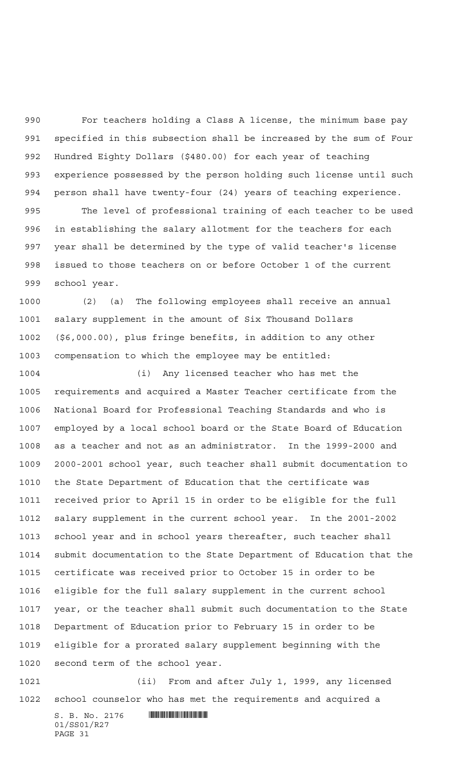For teachers holding a Class A license, the minimum base pay specified in this subsection shall be increased by the sum of Four Hundred Eighty Dollars (\$480.00) for each year of teaching experience possessed by the person holding such license until such person shall have twenty-four (24) years of teaching experience. The level of professional training of each teacher to be used

 in establishing the salary allotment for the teachers for each year shall be determined by the type of valid teacher's license issued to those teachers on or before October 1 of the current school year.

 (2) (a) The following employees shall receive an annual salary supplement in the amount of Six Thousand Dollars (\$6,000.00), plus fringe benefits, in addition to any other compensation to which the employee may be entitled:

 (i) Any licensed teacher who has met the requirements and acquired a Master Teacher certificate from the National Board for Professional Teaching Standards and who is employed by a local school board or the State Board of Education as a teacher and not as an administrator. In the 1999-2000 and 2000-2001 school year, such teacher shall submit documentation to the State Department of Education that the certificate was received prior to April 15 in order to be eligible for the full salary supplement in the current school year. In the 2001-2002 school year and in school years thereafter, such teacher shall submit documentation to the State Department of Education that the certificate was received prior to October 15 in order to be eligible for the full salary supplement in the current school year, or the teacher shall submit such documentation to the State Department of Education prior to February 15 in order to be eligible for a prorated salary supplement beginning with the second term of the school year.

 (ii) From and after July 1, 1999, any licensed school counselor who has met the requirements and acquired a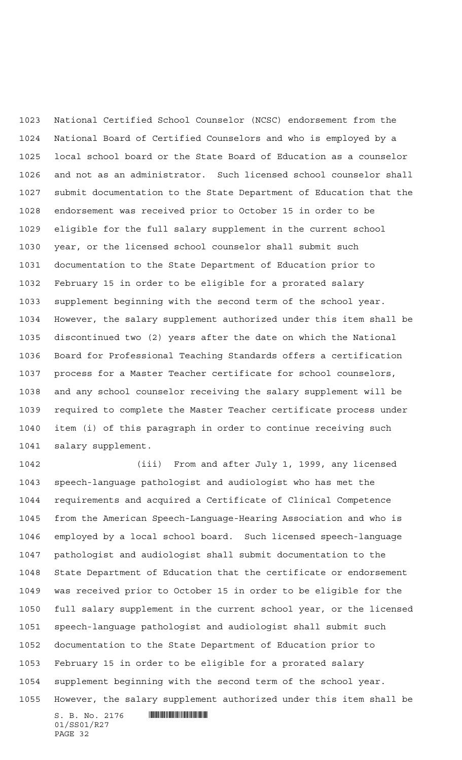National Certified School Counselor (NCSC) endorsement from the National Board of Certified Counselors and who is employed by a local school board or the State Board of Education as a counselor and not as an administrator. Such licensed school counselor shall submit documentation to the State Department of Education that the endorsement was received prior to October 15 in order to be eligible for the full salary supplement in the current school year, or the licensed school counselor shall submit such documentation to the State Department of Education prior to February 15 in order to be eligible for a prorated salary supplement beginning with the second term of the school year. However, the salary supplement authorized under this item shall be discontinued two (2) years after the date on which the National Board for Professional Teaching Standards offers a certification process for a Master Teacher certificate for school counselors, and any school counselor receiving the salary supplement will be required to complete the Master Teacher certificate process under item (i) of this paragraph in order to continue receiving such salary supplement.

 (iii) From and after July 1, 1999, any licensed speech-language pathologist and audiologist who has met the requirements and acquired a Certificate of Clinical Competence from the American Speech-Language-Hearing Association and who is employed by a local school board. Such licensed speech-language pathologist and audiologist shall submit documentation to the State Department of Education that the certificate or endorsement was received prior to October 15 in order to be eligible for the full salary supplement in the current school year, or the licensed speech-language pathologist and audiologist shall submit such documentation to the State Department of Education prior to February 15 in order to be eligible for a prorated salary supplement beginning with the second term of the school year. However, the salary supplement authorized under this item shall be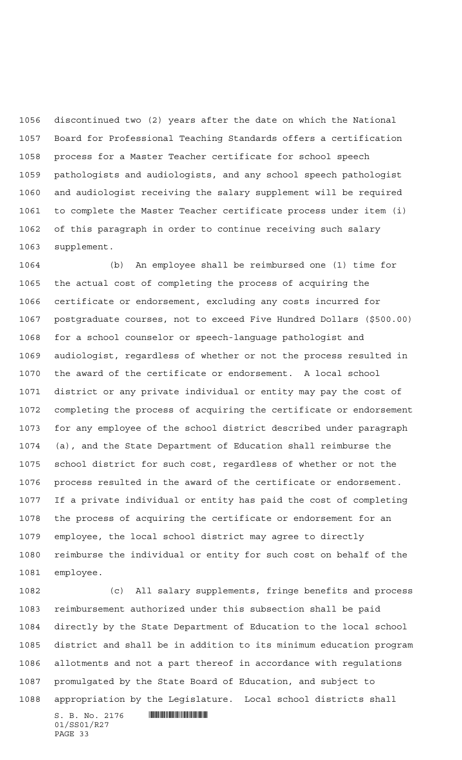discontinued two (2) years after the date on which the National Board for Professional Teaching Standards offers a certification process for a Master Teacher certificate for school speech pathologists and audiologists, and any school speech pathologist and audiologist receiving the salary supplement will be required to complete the Master Teacher certificate process under item (i) of this paragraph in order to continue receiving such salary supplement.

 (b) An employee shall be reimbursed one (1) time for the actual cost of completing the process of acquiring the certificate or endorsement, excluding any costs incurred for postgraduate courses, not to exceed Five Hundred Dollars (\$500.00) for a school counselor or speech-language pathologist and audiologist, regardless of whether or not the process resulted in the award of the certificate or endorsement. A local school district or any private individual or entity may pay the cost of completing the process of acquiring the certificate or endorsement for any employee of the school district described under paragraph (a), and the State Department of Education shall reimburse the school district for such cost, regardless of whether or not the process resulted in the award of the certificate or endorsement. If a private individual or entity has paid the cost of completing the process of acquiring the certificate or endorsement for an employee, the local school district may agree to directly reimburse the individual or entity for such cost on behalf of the employee.

 $S. B. No. 2176$  . And the state of  $\mathbb{R}$  (c) All salary supplements, fringe benefits and process reimbursement authorized under this subsection shall be paid directly by the State Department of Education to the local school district and shall be in addition to its minimum education program allotments and not a part thereof in accordance with regulations promulgated by the State Board of Education, and subject to appropriation by the Legislature. Local school districts shall

01/SS01/R27 PAGE 33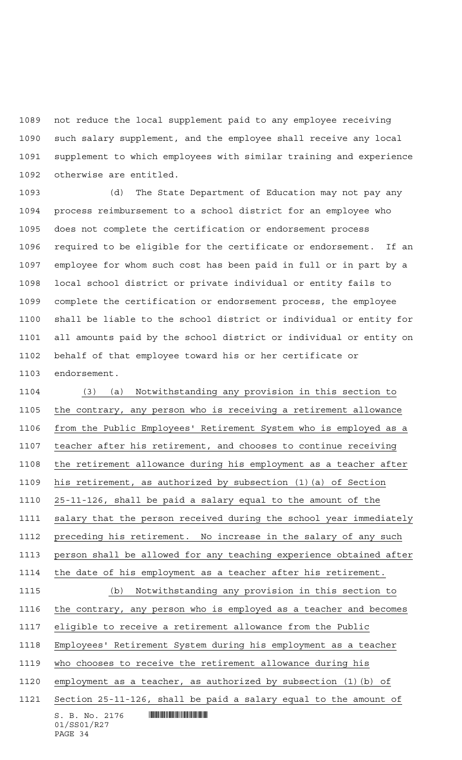not reduce the local supplement paid to any employee receiving such salary supplement, and the employee shall receive any local supplement to which employees with similar training and experience otherwise are entitled.

 (d) The State Department of Education may not pay any process reimbursement to a school district for an employee who does not complete the certification or endorsement process required to be eligible for the certificate or endorsement. If an employee for whom such cost has been paid in full or in part by a local school district or private individual or entity fails to complete the certification or endorsement process, the employee shall be liable to the school district or individual or entity for all amounts paid by the school district or individual or entity on behalf of that employee toward his or her certificate or endorsement.

 $S. B. No. 2176$  . And the state of  $\mathbb{R}$ 01/SS01/R27 PAGE 34 (3) (a) Notwithstanding any provision in this section to the contrary, any person who is receiving a retirement allowance from the Public Employees' Retirement System who is employed as a teacher after his retirement, and chooses to continue receiving the retirement allowance during his employment as a teacher after his retirement, as authorized by subsection (1)(a) of Section 25-11-126, shall be paid a salary equal to the amount of the salary that the person received during the school year immediately 1112 preceding his retirement. No increase in the salary of any such person shall be allowed for any teaching experience obtained after the date of his employment as a teacher after his retirement. (b) Notwithstanding any provision in this section to the contrary, any person who is employed as a teacher and becomes eligible to receive a retirement allowance from the Public Employees' Retirement System during his employment as a teacher who chooses to receive the retirement allowance during his employment as a teacher, as authorized by subsection (1)(b) of Section 25-11-126, shall be paid a salary equal to the amount of